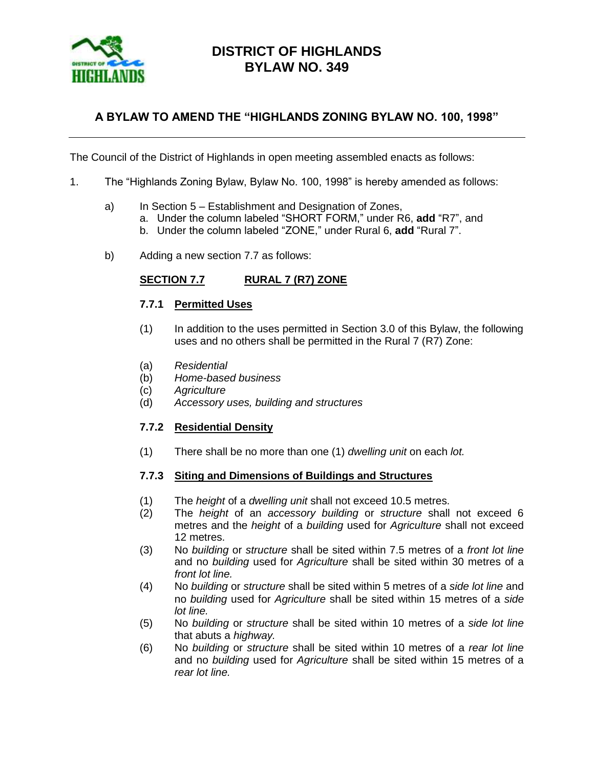

# **DISTRICT OF HIGHLANDS BYLAW NO. 349**

## **A BYLAW TO AMEND THE "HIGHLANDS ZONING BYLAW NO. 100, 1998"**

The Council of the District of Highlands in open meeting assembled enacts as follows:

- 1. The "Highlands Zoning Bylaw, Bylaw No. 100, 1998" is hereby amended as follows:
	- a) In Section 5 Establishment and Designation of Zones,
		- a. Under the column labeled "SHORT FORM," under R6, **add** "R7", and
			- b. Under the column labeled "ZONE," under Rural 6, **add** "Rural 7".
	- b) Adding a new section 7.7 as follows:

### **SECTION 7.7 RURAL 7 (R7) ZONE**

#### **7.7.1 Permitted Uses**

- (1) In addition to the uses permitted in Section 3.0 of this Bylaw, the following uses and no others shall be permitted in the Rural 7 (R7) Zone:
- (a) *Residential*
- (b) *Home-based business*
- (c) *Agriculture*
- (d) *Accessory uses, building and structures*

### **7.7.2 Residential Density**

(1) There shall be no more than one (1) *dwelling unit* on each *lot.*

#### **7.7.3 Siting and Dimensions of Buildings and Structures**

- (1) The *height* of a *dwelling unit* shall not exceed 10.5 metres.
- (2) The *height* of an *accessory building* or *structure* shall not exceed 6 metres and the *height* of a *building* used for *Agriculture* shall not exceed 12 metres.
- (3) No *building* or *structure* shall be sited within 7.5 metres of a *front lot line* and no *building* used for *Agriculture* shall be sited within 30 metres of a *front lot line.*
- (4) No *building* or *structure* shall be sited within 5 metres of a *side lot line* and no *building* used for *Agriculture* shall be sited within 15 metres of a *side lot line.*
- (5) No *building* or *structure* shall be sited within 10 metres of a *side lot line* that abuts a *highway.*
- (6) No *building* or *structure* shall be sited within 10 metres of a *rear lot line* and no *building* used for *Agriculture* shall be sited within 15 metres of a *rear lot line.*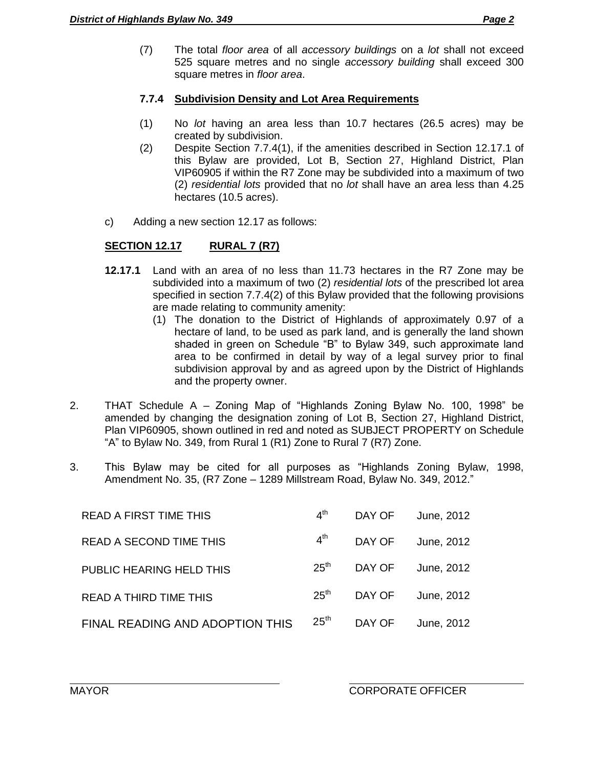(7) The total *floor area* of all *accessory buildings* on a *lot* shall not exceed 525 square metres and no single *accessory building* shall exceed 300 square metres in *floor area*.

## **7.7.4 Subdivision Density and Lot Area Requirements**

- (1) No *lot* having an area less than 10.7 hectares (26.5 acres) may be created by subdivision.
- (2) Despite Section 7.7.4(1), if the amenities described in Section 12.17.1 of this Bylaw are provided, Lot B, Section 27, Highland District, Plan VIP60905 if within the R7 Zone may be subdivided into a maximum of two (2) *residential lots* provided that no *lot* shall have an area less than 4.25 hectares (10.5 acres).
- c) Adding a new section 12.17 as follows:

# **SECTION 12.17 RURAL 7 (R7)**

- **12.17.1** Land with an area of no less than 11.73 hectares in the R7 Zone may be subdivided into a maximum of two (2) *residential lots* of the prescribed lot area specified in section 7.7.4(2) of this Bylaw provided that the following provisions are made relating to community amenity:
	- (1) The donation to the District of Highlands of approximately 0.97 of a hectare of land, to be used as park land, and is generally the land shown shaded in green on Schedule "B" to Bylaw 349, such approximate land area to be confirmed in detail by way of a legal survey prior to final subdivision approval by and as agreed upon by the District of Highlands and the property owner.
- 2. THAT Schedule A Zoning Map of "Highlands Zoning Bylaw No. 100, 1998" be amended by changing the designation zoning of Lot B, Section 27, Highland District, Plan VIP60905, shown outlined in red and noted as SUBJECT PROPERTY on Schedule "A" to Bylaw No. 349, from Rural 1 (R1) Zone to Rural 7 (R7) Zone.
- 3. This Bylaw may be cited for all purposes as "Highlands Zoning Bylaw, 1998, Amendment No. 35, (R7 Zone – 1289 Millstream Road, Bylaw No. 349, 2012."

| <b>READ A FIRST TIME THIS</b>   | $4^{\text{th}}$  | DAY OF | June, 2012 |
|---------------------------------|------------------|--------|------------|
| <b>READ A SECOND TIME THIS</b>  | $4^{\text{th}}$  | DAY OF | June, 2012 |
| PUBLIC HEARING HELD THIS        | 25 <sup>th</sup> | DAY OF | June, 2012 |
| <b>READ A THIRD TIME THIS</b>   | $25^{\text{th}}$ | DAY OF | June, 2012 |
| FINAL READING AND ADOPTION THIS | 25 <sup>th</sup> | DAY OF | June, 2012 |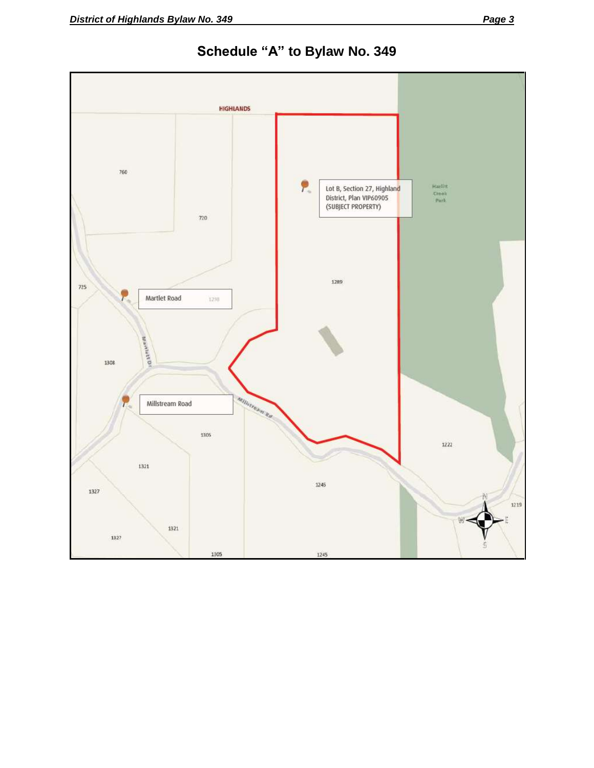

**Schedule "A" to Bylaw No. 349**